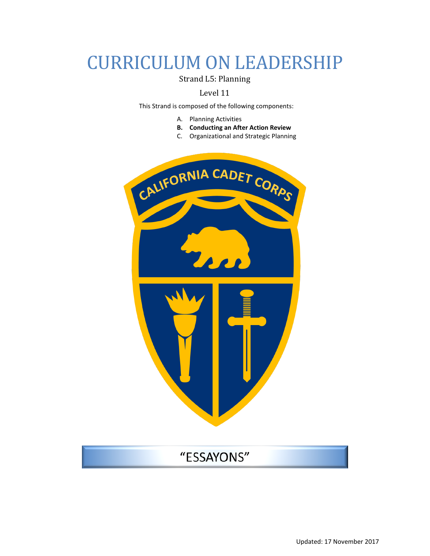# CURRICULUM ON LEADERSHIP

## Strand L5: Planning

## Level 11

This Strand is composed of the following components:

- A. Planning Activities
- **B. Conducting an After Action Review**
- C. Organizational and Strategic Planning

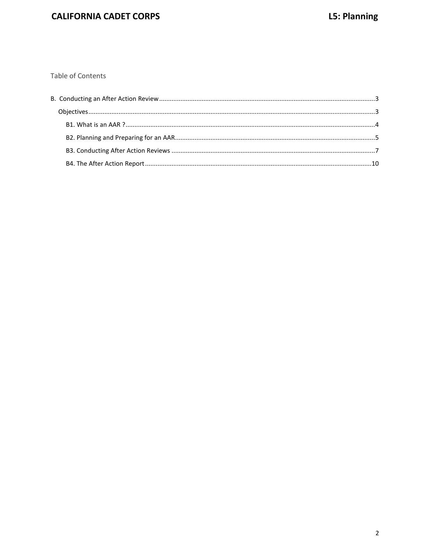## **CALIFORNIA CADET CORPS**

Table of Contents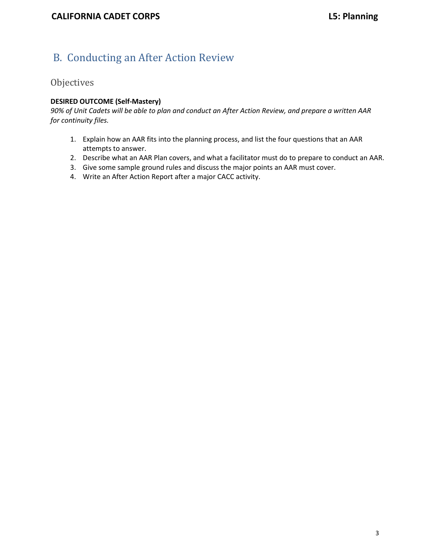## <span id="page-2-0"></span>B. Conducting an After Action Review

## <span id="page-2-1"></span>Objectives

## **DESIRED OUTCOME (Self-Mastery)**

*90% of Unit Cadets will be able to plan and conduct an After Action Review, and prepare a written AAR for continuity files.*

- 1. Explain how an AAR fits into the planning process, and list the four questions that an AAR attempts to answer.
- 2. Describe what an AAR Plan covers, and what a facilitator must do to prepare to conduct an AAR.
- 3. Give some sample ground rules and discuss the major points an AAR must cover.
- 4. Write an After Action Report after a major CACC activity.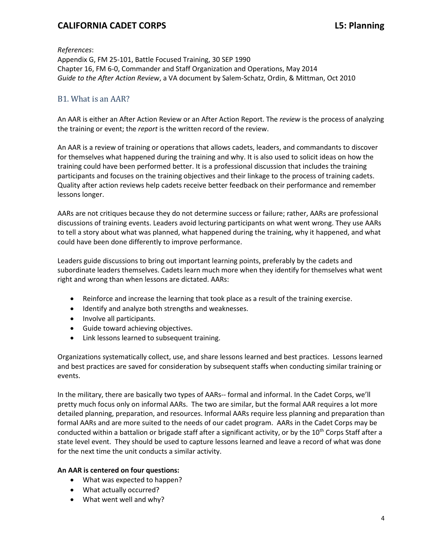*References*:

Appendix G, FM 25-101, Battle Focused Training, 30 SEP 1990 Chapter 16, FM 6-0, Commander and Staff Organization and Operations, May 2014 *Guide to the After Action Review*, a VA document by Salem-Schatz, Ordin, & Mittman, Oct 2010

## <span id="page-3-0"></span>B1. What is an AAR?

An AAR is either an After Action Review or an After Action Report. The *review* is the process of analyzing the training or event; the *report* is the written record of the review.

An AAR is a review of training or operations that allows cadets, leaders, and commandants to discover for themselves what happened during the training and why. It is also used to solicit ideas on how the training could have been performed better. It is a professional discussion that includes the training participants and focuses on the training objectives and their linkage to the process of training cadets. Quality after action reviews help cadets receive better feedback on their performance and remember lessons longer.

AARs are not critiques because they do not determine success or failure; rather, AARs are professional discussions of training events. Leaders avoid lecturing participants on what went wrong. They use AARs to tell a story about what was planned, what happened during the training, why it happened, and what could have been done differently to improve performance.

Leaders guide discussions to bring out important learning points, preferably by the cadets and subordinate leaders themselves. Cadets learn much more when they identify for themselves what went right and wrong than when lessons are dictated. AARs:

- Reinforce and increase the learning that took place as a result of the training exercise.
- Identify and analyze both strengths and weaknesses.
- Involve all participants.
- Guide toward achieving objectives.
- Link lessons learned to subsequent training.

Organizations systematically collect, use, and share lessons learned and best practices. Lessons learned and best practices are saved for consideration by subsequent staffs when conducting similar training or events.

In the military, there are basically two types of AARs-- formal and informal. In the Cadet Corps, we'll pretty much focus only on informal AARs. The two are similar, but the formal AAR requires a lot more detailed planning, preparation, and resources. Informal AARs require less planning and preparation than formal AARs and are more suited to the needs of our cadet program. AARs in the Cadet Corps may be conducted within a battalion or brigade staff after a significant activity, or by the 10<sup>th</sup> Corps Staff after a state level event. They should be used to capture lessons learned and leave a record of what was done for the next time the unit conducts a similar activity.

#### **An AAR is centered on four questions:**

- What was expected to happen?
- What actually occurred?
- What went well and why?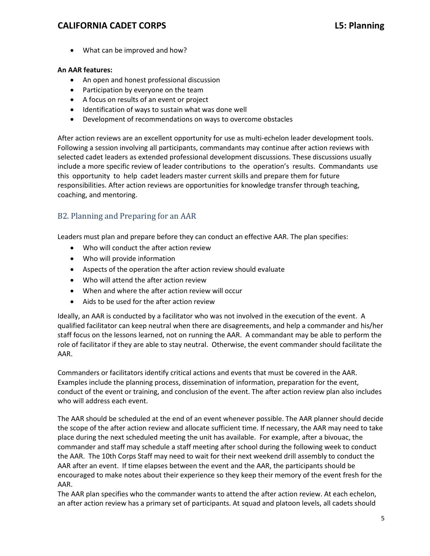• What can be improved and how?

#### **An AAR features:**

- An open and honest professional discussion
- Participation by everyone on the team
- A focus on results of an event or project
- Identification of ways to sustain what was done well
- Development of recommendations on ways to overcome obstacles

After action reviews are an excellent opportunity for use as multi-echelon leader development tools. Following a session involving all participants, commandants may continue after action reviews with selected cadet leaders as extended professional development discussions. These discussions usually include a more specific review of leader contributions to the operation's results. Commandants use this opportunity to help cadet leaders master current skills and prepare them for future responsibilities. After action reviews are opportunities for knowledge transfer through teaching, coaching, and mentoring.

## <span id="page-4-0"></span>B2. Planning and Preparing for an AAR

Leaders must plan and prepare before they can conduct an effective AAR. The plan specifies:

- Who will conduct the after action review
- Who will provide information
- Aspects of the operation the after action review should evaluate
- Who will attend the after action review
- When and where the after action review will occur
- Aids to be used for the after action review

Ideally, an AAR is conducted by a facilitator who was not involved in the execution of the event. A qualified facilitator can keep neutral when there are disagreements, and help a commander and his/her staff focus on the lessons learned, not on running the AAR. A commandant may be able to perform the role of facilitator if they are able to stay neutral. Otherwise, the event commander should facilitate the AAR.

Commanders or facilitators identify critical actions and events that must be covered in the AAR. Examples include the planning process, dissemination of information, preparation for the event, conduct of the event or training, and conclusion of the event. The after action review plan also includes who will address each event.

The AAR should be scheduled at the end of an event whenever possible. The AAR planner should decide the scope of the after action review and allocate sufficient time. If necessary, the AAR may need to take place during the next scheduled meeting the unit has available. For example, after a bivouac, the commander and staff may schedule a staff meeting after school during the following week to conduct the AAR. The 10th Corps Staff may need to wait for their next weekend drill assembly to conduct the AAR after an event. If time elapses between the event and the AAR, the participants should be encouraged to make notes about their experience so they keep their memory of the event fresh for the AAR.

The AAR plan specifies who the commander wants to attend the after action review. At each echelon, an after action review has a primary set of participants. At squad and platoon levels, all cadets should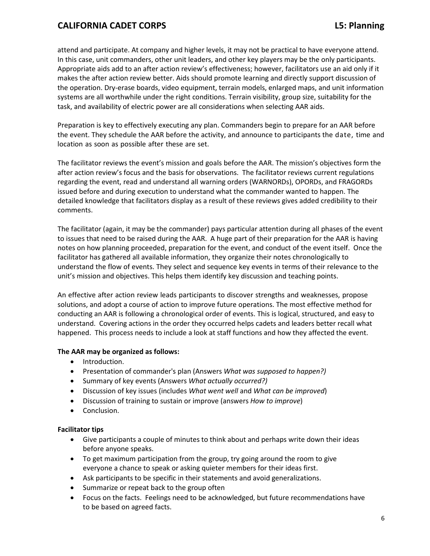attend and participate. At company and higher levels, it may not be practical to have everyone attend. In this case, unit commanders, other unit leaders, and other key players may be the only participants. Appropriate aids add to an after action review's effectiveness; however, facilitators use an aid only if it makes the after action review better. Aids should promote learning and directly support discussion of the operation. Dry-erase boards, video equipment, terrain models, enlarged maps, and unit information systems are all worthwhile under the right conditions. Terrain visibility, group size, suitability for the task, and availability of electric power are all considerations when selecting AAR aids.

Preparation is key to effectively executing any plan. Commanders begin to prepare for an AAR before the event. They schedule the AAR before the activity, and announce to participants the date, time and location as soon as possible after these are set.

The facilitator reviews the event's mission and goals before the AAR. The mission's objectives form the after action review's focus and the basis for observations. The facilitator reviews current regulations regarding the event, read and understand all warning orders (WARNORDs), OPORDs, and FRAGORDs issued before and during execution to understand what the commander wanted to happen. The detailed knowledge that facilitators display as a result of these reviews gives added credibility to their comments.

The facilitator (again, it may be the commander) pays particular attention during all phases of the event to issues that need to be raised during the AAR. A huge part of their preparation for the AAR is having notes on how planning proceeded, preparation for the event, and conduct of the event itself. Once the facilitator has gathered all available information, they organize their notes chronologically to understand the flow of events. They select and sequence key events in terms of their relevance to the unit's mission and objectives. This helps them identify key discussion and teaching points.

An effective after action review leads participants to discover strengths and weaknesses, propose solutions, and adopt a course of action to improve future operations. The most effective method for conducting an AAR is following a chronological order of events. This is logical, structured, and easy to understand. Covering actions in the order they occurred helps cadets and leaders better recall what happened. This process needs to include a look at staff functions and how they affected the event.

#### **The AAR may be organized as follows:**

- Introduction.
- Presentation of commander's plan (Answers *What was supposed to happen?)*
- Summary of key events (Answers *What actually occurred?)*
- Discussion of key issues (includes *What went well* and *What can be improved*)
- Discussion of training to sustain or improve (answers *How to improve*)
- Conclusion.

#### **Facilitator tips**

- Give participants a couple of minutes to think about and perhaps write down their ideas before anyone speaks.
- To get maximum participation from the group, try going around the room to give everyone a chance to speak or asking quieter members for their ideas first.
- Ask participants to be specific in their statements and avoid generalizations.
- Summarize or repeat back to the group often
- Focus on the facts. Feelings need to be acknowledged, but future recommendations have to be based on agreed facts.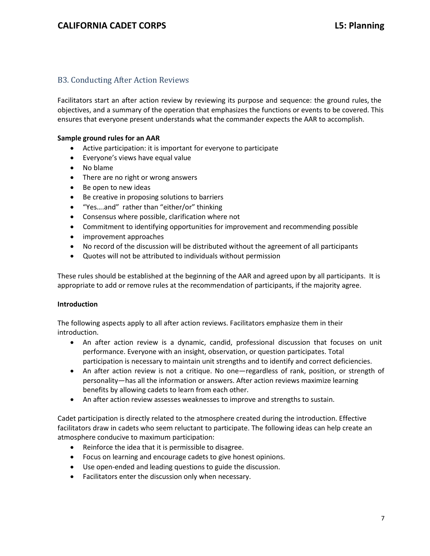### <span id="page-6-0"></span>B3. Conducting After Action Reviews

Facilitators start an after action review by reviewing its purpose and sequence: the ground rules, the objectives, and a summary of the operation that emphasizes the functions or events to be covered. This ensures that everyone present understands what the commander expects the AAR to accomplish.

#### **Sample ground rules for an AAR**

- Active participation: it is important for everyone to participate
- Everyone's views have equal value
- No blame
- There are no right or wrong answers
- Be open to new ideas
- Be creative in proposing solutions to barriers
- "Yes….and" rather than "either/or" thinking
- Consensus where possible, clarification where not
- Commitment to identifying opportunities for improvement and recommending possible
- improvement approaches
- No record of the discussion will be distributed without the agreement of all participants
- Quotes will not be attributed to individuals without permission

These rules should be established at the beginning of the AAR and agreed upon by all participants. It is appropriate to add or remove rules at the recommendation of participants, if the majority agree.

#### **Introduction**

The following aspects apply to all after action reviews. Facilitators emphasize them in their introduction.

- An after action review is a dynamic, candid, professional discussion that focuses on unit performance. Everyone with an insight, observation, or question participates. Total participation is necessary to maintain unit strengths and to identify and correct deficiencies.
- An after action review is not a critique. No one—regardless of rank, position, or strength of personality—has all the information or answers. After action reviews maximize learning benefits by allowing cadets to learn from each other.
- An after action review assesses weaknesses to improve and strengths to sustain.

Cadet participation is directly related to the atmosphere created during the introduction. Effective facilitators draw in cadets who seem reluctant to participate. The following ideas can help create an atmosphere conducive to maximum participation:

- Reinforce the idea that it is permissible to disagree.
- Focus on learning and encourage cadets to give honest opinions.
- Use open-ended and leading questions to guide the discussion.
- Facilitators enter the discussion only when necessary.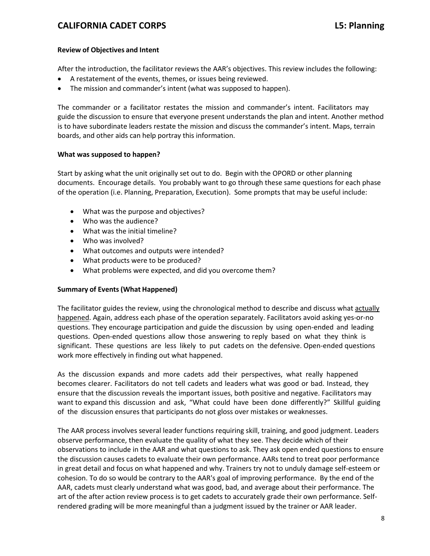#### **Review of Objectives and Intent**

After the introduction, the facilitator reviews the AAR's objectives. This review includes the following:

- A restatement of the events, themes, or issues being reviewed.
- The mission and commander's intent (what was supposed to happen).

The commander or a facilitator restates the mission and commander's intent. Facilitators may guide the discussion to ensure that everyone present understands the plan and intent. Another method is to have subordinate leaders restate the mission and discuss the commander's intent. Maps, terrain boards, and other aids can help portray this information.

#### **What was supposed to happen?**

Start by asking what the unit originally set out to do. Begin with the OPORD or other planning documents. Encourage details. You probably want to go through these same questions for each phase of the operation (i.e. Planning, Preparation, Execution). Some prompts that may be useful include:

- What was the purpose and objectives?
- Who was the audience?
- What was the initial timeline?
- Who was involved?
- What outcomes and outputs were intended?
- What products were to be produced?
- What problems were expected, and did you overcome them?

#### **Summary of Events(What Happened)**

The facilitator guides the review, using the chronological method to describe and discuss what actually happened. Again, address each phase of the operation separately. Facilitators avoid asking yes-or-no questions. They encourage participation and guide the discussion by using open-ended and leading questions. Open-ended questions allow those answering to reply based on what they think is significant. These questions are less likely to put cadets on the defensive. Open-ended questions work more effectively in finding out what happened.

As the discussion expands and more cadets add their perspectives, what really happened becomes clearer. Facilitators do not tell cadets and leaders what was good or bad. Instead, they ensure that the discussion reveals the important issues, both positive and negative. Facilitators may want to expand this discussion and ask, "What could have been done differently?" Skillful guiding of the discussion ensures that participants do not gloss over mistakes or weaknesses.

The AAR process involves several leader functions requiring skill, training, and good judgment. Leaders observe performance, then evaluate the quality of what they see. They decide which of their observations to include in the AAR and what questions to ask. They ask open ended questions to ensure the discussion causes cadets to evaluate their own performance. AARs tend to treat poor performance in great detail and focus on what happened and why. Trainers try not to unduly damage self-esteem or cohesion. To do so would be contrary to the AAR's goal of improving performance. By the end of the AAR, cadets must clearly understand what was good, bad, and average about their performance. The art of the after action review process is to get cadets to accurately grade their own performance. Selfrendered grading will be more meaningful than a judgment issued by the trainer or AAR leader.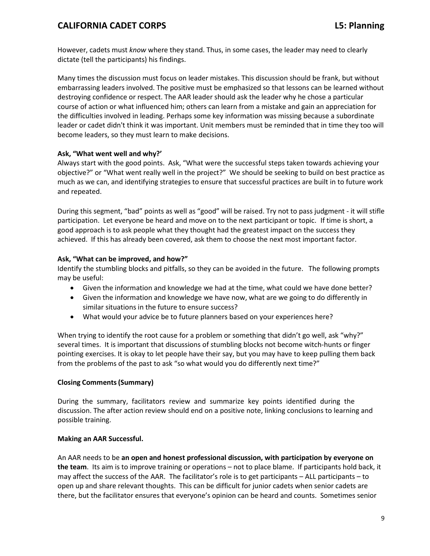However, cadets must *know* where they stand. Thus, in some cases, the leader may need to clearly dictate (tell the participants) his findings.

Many times the discussion must focus on leader mistakes. This discussion should be frank, but without embarrassing leaders involved. The positive must be emphasized so that lessons can be learned without destroying confidence or respect. The AAR leader should ask the leader why he chose a particular course of action or what influenced him; others can learn from a mistake and gain an appreciation for the difficulties involved in leading. Perhaps some key information was missing because a subordinate leader or cadet didn't think it was important. Unit members must be reminded that in time they too will become leaders, so they must learn to make decisions.

#### **Ask, "What went well and why?'**

Always start with the good points. Ask, "What were the successful steps taken towards achieving your objective?" or "What went really well in the project?" We should be seeking to build on best practice as much as we can, and identifying strategies to ensure that successful practices are built in to future work and repeated.

During this segment, "bad" points as well as "good" will be raised. Try not to pass judgment - it will stifle participation. Let everyone be heard and move on to the next participant or topic. If time is short, a good approach is to ask people what they thought had the greatest impact on the success they achieved. If this has already been covered, ask them to choose the next most important factor.

#### **Ask, "What can be improved, and how?"**

Identify the stumbling blocks and pitfalls, so they can be avoided in the future. The following prompts may be useful:

- Given the information and knowledge we had at the time, what could we have done better?
- Given the information and knowledge we have now, what are we going to do differently in similar situations in the future to ensure success?
- What would your advice be to future planners based on your experiences here?

When trying to identify the root cause for a problem or something that didn't go well, ask "why?" several times. It is important that discussions of stumbling blocks not become witch-hunts or finger pointing exercises. It is okay to let people have their say, but you may have to keep pulling them back from the problems of the past to ask "so what would you do differently next time?"

#### **Closing Comments(Summary)**

During the summary, facilitators review and summarize key points identified during the discussion. The after action review should end on a positive note, linking conclusions to learning and possible training.

#### **Making an AAR Successful.**

An AAR needs to be **an open and honest professional discussion, with participation by everyone on the team**. Its aim is to improve training or operations – not to place blame. If participants hold back, it may affect the success of the AAR. The facilitator's role is to get participants – ALL participants – to open up and share relevant thoughts. This can be difficult for junior cadets when senior cadets are there, but the facilitator ensures that everyone's opinion can be heard and counts. Sometimes senior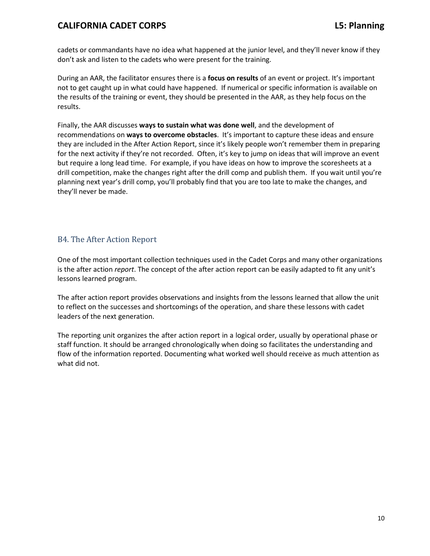cadets or commandants have no idea what happened at the junior level, and they'll never know if they don't ask and listen to the cadets who were present for the training.

During an AAR, the facilitator ensures there is a **focus on results** of an event or project. It's important not to get caught up in what could have happened. If numerical or specific information is available on the results of the training or event, they should be presented in the AAR, as they help focus on the results.

Finally, the AAR discusses **ways to sustain what was done well**, and the development of recommendations on **ways to overcome obstacles**. It's important to capture these ideas and ensure they are included in the After Action Report, since it's likely people won't remember them in preparing for the next activity if they're not recorded. Often, it's key to jump on ideas that will improve an event but require a long lead time. For example, if you have ideas on how to improve the scoresheets at a drill competition, make the changes right after the drill comp and publish them. If you wait until you're planning next year's drill comp, you'll probably find that you are too late to make the changes, and they'll never be made.

## <span id="page-9-0"></span>B4. The After Action Report

One of the most important collection techniques used in the Cadet Corps and many other organizations is the after action *report*. The concept of the after action report can be easily adapted to fit any unit's lessons learned program.

The after action report provides observations and insights from the lessons learned that allow the unit to reflect on the successes and shortcomings of the operation, and share these lessons with cadet leaders of the next generation.

The reporting unit organizes the after action report in a logical order, usually by operational phase or staff function. It should be arranged chronologically when doing so facilitates the understanding and flow of the information reported. Documenting what worked well should receive as much attention as what did not.